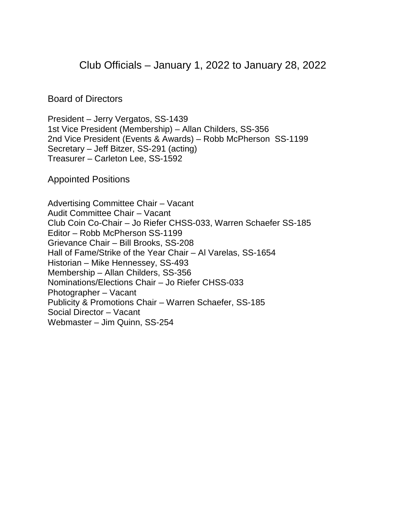Club Officials – January 1, 2022 to January 28, 2022

Board of Directors

President – Jerry Vergatos, SS-1439 1st Vice President (Membership) – Allan Childers, SS-356 2nd Vice President (Events & Awards) – Robb McPherson SS-1199 Secretary – Jeff Bitzer, SS-291 (acting) Treasurer – Carleton Lee, SS-1592

Appointed Positions

Advertising Committee Chair – Vacant Audit Committee Chair – Vacant Club Coin Co-Chair – Jo Riefer CHSS-033, Warren Schaefer SS-185 Editor – Robb McPherson SS-1199 Grievance Chair – Bill Brooks, SS-208 Hall of Fame/Strike of the Year Chair – Al Varelas, SS-1654 Historian – Mike Hennessey, SS-493 Membership – Allan Childers, SS-356 Nominations/Elections Chair – Jo Riefer CHSS-033 Photographer – Vacant Publicity & Promotions Chair – Warren Schaefer, SS-185 Social Director – Vacant Webmaster – Jim Quinn, SS-254